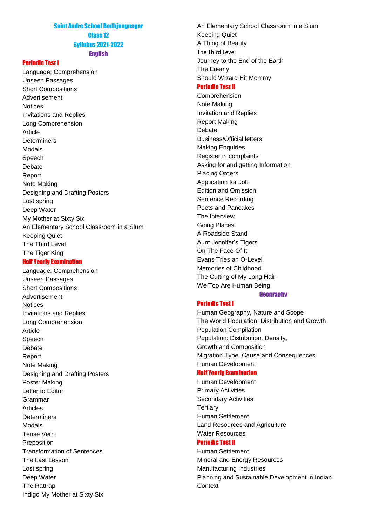## Saint Andre School Bodhjungnagar Class 12 Syllabus 2021-2022 English

#### Periodic Test I

Language: Comprehension Unseen Passages Short Compositions Advertisement **Notices** Invitations and Replies Long Comprehension Article **Determiners** Modals Speech Debate Report Note Making Designing and Drafting Posters Lost spring Deep Water My Mother at Sixty Six An Elementary School Classroom in a Slum Keeping Quiet The Third Level The Tiger King

#### Half Yearly Examination

Language: Comprehension Unseen Passages Short Compositions Advertisement **Notices** Invitations and Replies Long Comprehension Article Speech Debate Report Note Making Designing and Drafting Posters Poster Making Letter to Editor Grammar Articles **Determiners** Modals Tense Verb Preposition Transformation of Sentences The Last Lesson Lost spring Deep Water The Rattrap Indigo My Mother at Sixty Six

An Elementary School Classroom in a Slum Keeping Quiet A Thing of Beauty The Third Level Journey to the End of the Earth The Enemy Should Wizard Hit Mommy

# Periodic Test II

Comprehension Note Making Invitation and Replies Report Making Debate Business/Official letters Making Enquiries Register in complaints Asking for and getting Information Placing Orders Application for Job Edition and Omission Sentence Recording Poets and Pancakes The Interview Going Places A Roadside Stand Aunt Jennifer's Tigers On The Face Of It Evans Tries an O-Level Memories of Childhood The Cutting of My Long Hair We Too Are Human Being

# **Geography**

# Periodic Test I

Human Geography, Nature and Scope The World Population: Distribution and Growth Population Compilation Population: Distribution, Density, Growth and Composition Migration Type, Cause and Consequences Human Development

#### Half Yearly Examination

Human Development Primary Activities Secondary Activities **Tertiary** Human Settlement Land Resources and Agriculture Water Resources

# Periodic Test II

Human Settlement Mineral and Energy Resources Manufacturing Industries Planning and Sustainable Development in Indian **Context**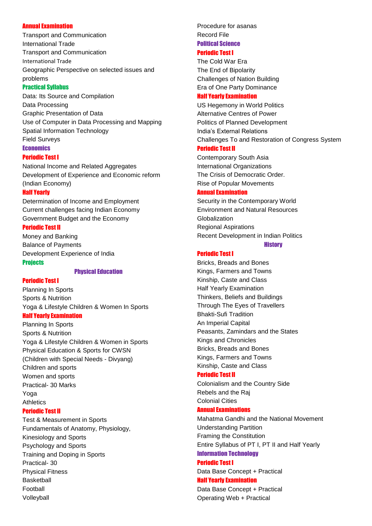#### Annual Examination

Transport and Communication International Trade Transport and Communication International Trade Geographic Perspective on selected issues and problems

#### Practical Syllabus

Data: Its Source and Compilation Data Processing Graphic Presentation of Data Use of Computer in Data Processing and Mapping Spatial Information Technology Field Surveys **Economics** 

#### Periodic Test I

National Income and Related Aggregates Development of Experience and Economic reform (Indian Economy)

#### Half Yearly

Determination of Income and Employment Current challenges facing Indian Economy Government Budget and the Economy

#### Periodic Test II

Money and Banking Balance of Payments Development Experience of India **Projects** 

Physical Education

#### Periodic Test I

Planning In Sports Sports & Nutrition Yoga & Lifestyle Children & Women In Sports

## Half Yearly Examination

Planning In Sports Sports & Nutrition Yoga & Lifestyle Children & Women in Sports Physical Education & Sports for CWSN (Children with Special Needs - Divyang) Children and sports Women and sports Practical- 30 Marks Yoga **Athletics** 

### Periodic Test II

Test & Measurement in Sports Fundamentals of Anatomy, Physiology, Kinesiology and Sports Psychology and Sports Training and Doping in Sports Practical- 30 Physical Fitness Basketball Football Volleyball

Procedure for asanas Record File Political Science

# Periodic Test I

The Cold War Era The End of Bipolarity Challenges of Nation Building Era of One Party Dominance

#### Half Yearly Examination

US Hegemony in World Politics Alternative Centres of Power Politics of Planned Development India's External Relations Challenges To and Restoration of Congress System Periodic Test II

Contemporary South Asia International Organizations The Crisis of Democratic Order. Rise of Popular Movements

#### Annual Examination

Security in the Contemporary World Environment and Natural Resources Globalization Regional Aspirations Recent Development in Indian Politics

**History** 

# Periodic Test I

Bricks, Breads and Bones Kings, Farmers and Towns Kinship, Caste and Class Half Yearly Examination Thinkers, Beliefs and Buildings Through The Eyes of Travellers Bhakti-Sufi Tradition An Imperial Capital Peasants, Zamindars and the States Kings and Chronicles Bricks, Breads and Bones Kings, Farmers and Towns Kinship, Caste and Class

### Periodic Test II

Colonialism and the Country Side Rebels and the Raj Colonial Cities

## Annual Examinations

Mahatma Gandhi and the National Movement Understanding Partition Framing the Constitution Entire Syllabus of PT I, PT II and Half Yearly Information Technology

# Periodic Test I

Data Base Concept + Practical Half Yearly Examination

Data Base Concept + Practical Operating Web + Practical